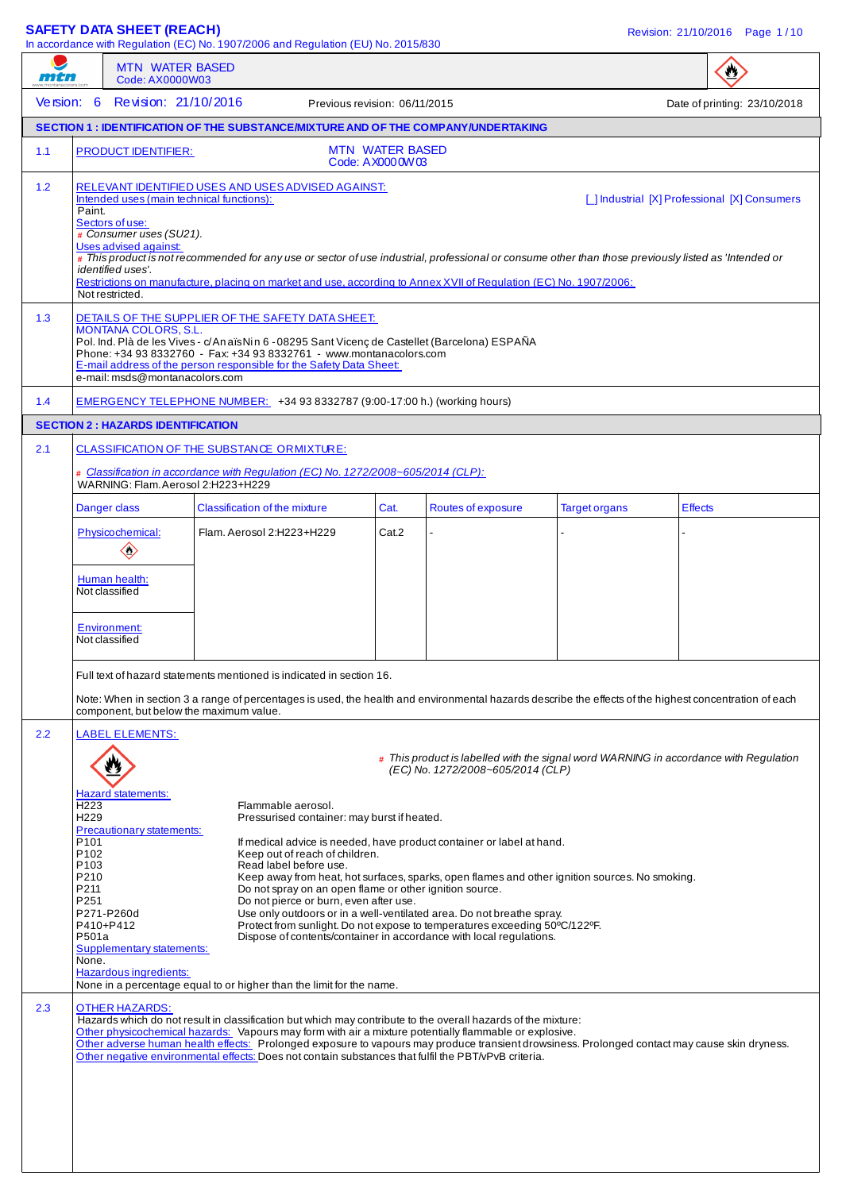# **SAFETY DATA SHEET (REACH) Revision: 21/10/2016** Page 1/10

In accordance with Regulation (EC) No. 1907/2006 and Regulation (EU) No. 2015/830

| mtn                                                                                                                                          | <b>MTN WATER BASED</b><br>Code: AX0000W03                                                                                                                                                   |                                                                                                                                                                                                                                                                                                                                                                                                                                                                                                                                                                                                                                                                                                                                                                                                                                                                                                                                                                                                                                                                                                                                                                                                         |                                              |                                   |                      | $\bullet$                                                                             |
|----------------------------------------------------------------------------------------------------------------------------------------------|---------------------------------------------------------------------------------------------------------------------------------------------------------------------------------------------|---------------------------------------------------------------------------------------------------------------------------------------------------------------------------------------------------------------------------------------------------------------------------------------------------------------------------------------------------------------------------------------------------------------------------------------------------------------------------------------------------------------------------------------------------------------------------------------------------------------------------------------------------------------------------------------------------------------------------------------------------------------------------------------------------------------------------------------------------------------------------------------------------------------------------------------------------------------------------------------------------------------------------------------------------------------------------------------------------------------------------------------------------------------------------------------------------------|----------------------------------------------|-----------------------------------|----------------------|---------------------------------------------------------------------------------------|
| Version: 6                                                                                                                                   | Revision: 21/10/2016                                                                                                                                                                        |                                                                                                                                                                                                                                                                                                                                                                                                                                                                                                                                                                                                                                                                                                                                                                                                                                                                                                                                                                                                                                                                                                                                                                                                         | Previous revision: 06/11/2015                |                                   |                      | Date of printing: 23/10/2018                                                          |
|                                                                                                                                              |                                                                                                                                                                                             | <b>SECTION 1: IDENTIFICATION OF THE SUBSTANCE/MIXTURE AND OF THE COMPANY/UNDERTAKING</b>                                                                                                                                                                                                                                                                                                                                                                                                                                                                                                                                                                                                                                                                                                                                                                                                                                                                                                                                                                                                                                                                                                                |                                              |                                   |                      |                                                                                       |
| 1.1                                                                                                                                          | <b>PRODUCT IDENTIFIER:</b>                                                                                                                                                                  |                                                                                                                                                                                                                                                                                                                                                                                                                                                                                                                                                                                                                                                                                                                                                                                                                                                                                                                                                                                                                                                                                                                                                                                                         | <b>MTN WATER BASED</b><br>Code: A X000 0W 03 |                                   |                      |                                                                                       |
| 1.2<br>Paint.                                                                                                                                | Intended uses (main technical functions):<br>Sectors of use:<br># Consumer uses (SU21).<br>Uses advised against:<br>identified uses'.<br>Not restricted.                                    | RELEVANT IDENTIFIED USES AND USES ADVISED AGAINST:<br># This product is not recommended for any use or sector of use industrial, professional or consume other than those previously listed as 'Intended or<br>Restrictions on manufacture, placing on market and use, according to Annex XVII of Regulation (EC) No. 1907/2006:                                                                                                                                                                                                                                                                                                                                                                                                                                                                                                                                                                                                                                                                                                                                                                                                                                                                        |                                              |                                   |                      | [ ] Industrial [X] Professional [X] Consumers                                         |
| 1.3                                                                                                                                          | <b>MONTANA COLORS, S.L.</b><br>e-mail: msds@montanacolors.com                                                                                                                               | DETAILS OF THE SUPPLIER OF THE SAFETY DATA SHEET:<br>Pol. Ind. Plà de les Vives - c/AnaïsNin 6 - 08295 Sant Vicenç de Castellet (Barcelona) ESPAÑA<br>Phone: +34 93 8332760 - Fax: +34 93 8332761 - www.montanacolors.com<br>E-mail address of the person responsible for the Safety Data Sheet:                                                                                                                                                                                                                                                                                                                                                                                                                                                                                                                                                                                                                                                                                                                                                                                                                                                                                                        |                                              |                                   |                      |                                                                                       |
| 1.4                                                                                                                                          |                                                                                                                                                                                             | EMERGENCY TELEPHONE NUMBER: +34 93 8332787 (9:00-17:00 h.) (working hours)                                                                                                                                                                                                                                                                                                                                                                                                                                                                                                                                                                                                                                                                                                                                                                                                                                                                                                                                                                                                                                                                                                                              |                                              |                                   |                      |                                                                                       |
|                                                                                                                                              | <b>SECTION 2: HAZARDS IDENTIFICATION</b>                                                                                                                                                    |                                                                                                                                                                                                                                                                                                                                                                                                                                                                                                                                                                                                                                                                                                                                                                                                                                                                                                                                                                                                                                                                                                                                                                                                         |                                              |                                   |                      |                                                                                       |
| 2.1                                                                                                                                          | WARNING: Flam. Aerosol 2:H223+H229                                                                                                                                                          | CLASSIFICATION OF THE SUBSTANCE ORMIXTURE:<br># Classification in accordance with Regulation (EC) No. 1272/2008~605/2014 (CLP):                                                                                                                                                                                                                                                                                                                                                                                                                                                                                                                                                                                                                                                                                                                                                                                                                                                                                                                                                                                                                                                                         |                                              |                                   |                      |                                                                                       |
|                                                                                                                                              | Danger class                                                                                                                                                                                | Classification of the mixture                                                                                                                                                                                                                                                                                                                                                                                                                                                                                                                                                                                                                                                                                                                                                                                                                                                                                                                                                                                                                                                                                                                                                                           | Cat.                                         | Routes of exposure                | <b>Target organs</b> | <b>Effects</b>                                                                        |
|                                                                                                                                              | Physicochemical:<br>$\diamondsuit$                                                                                                                                                          | Flam. Aerosol 2:H223+H229                                                                                                                                                                                                                                                                                                                                                                                                                                                                                                                                                                                                                                                                                                                                                                                                                                                                                                                                                                                                                                                                                                                                                                               | Cat.2                                        |                                   |                      |                                                                                       |
|                                                                                                                                              | Human health:<br>Not classified                                                                                                                                                             |                                                                                                                                                                                                                                                                                                                                                                                                                                                                                                                                                                                                                                                                                                                                                                                                                                                                                                                                                                                                                                                                                                                                                                                                         |                                              |                                   |                      |                                                                                       |
|                                                                                                                                              | <b>Environment:</b><br>Not classified                                                                                                                                                       |                                                                                                                                                                                                                                                                                                                                                                                                                                                                                                                                                                                                                                                                                                                                                                                                                                                                                                                                                                                                                                                                                                                                                                                                         |                                              |                                   |                      |                                                                                       |
|                                                                                                                                              | component, but below the maximum value.                                                                                                                                                     | Full text of hazard statements mentioned is indicated in section 16<br>Note: When in section 3 a range of percentages is used, the health and environmental hazards describe the effects of the highest concentration of each                                                                                                                                                                                                                                                                                                                                                                                                                                                                                                                                                                                                                                                                                                                                                                                                                                                                                                                                                                           |                                              |                                   |                      |                                                                                       |
| 2.2<br>H <sub>223</sub><br>H <sub>229</sub><br>P <sub>101</sub><br>P102<br>P <sub>103</sub><br>P210<br>P211<br>P251<br>P501a<br>None.<br>2.3 | <b>LABEL ELEMENTS:</b><br>Hazard statements:<br>Precautionary statements:<br>P271-P260d<br>P410+P412<br><b>Supplementary statements:</b><br>Hazardous ingredients:<br><b>OTHER HAZARDS:</b> | Flammable aerosol.<br>Pressurised container: may burst if heated.<br>If medical advice is needed, have product container or label at hand.<br>Keep out of reach of children.<br>Read label before use.<br>Keep away from heat, hot surfaces, sparks, open flames and other ignition sources. No smoking.<br>Do not spray on an open flame or other ignition source.<br>Do not pierce or burn, even after use.<br>Use only outdoors or in a well-ventilated area. Do not breathe spray.<br>Protect from sunlight. Do not expose to temperatures exceeding 50°C/122°F.<br>Dispose of contents/container in accordance with local regulations.<br>None in a percentage equal to or higher than the limit for the name.<br>Hazards which do not result in classification but which may contribute to the overall hazards of the mixture:<br>Other physicochemical hazards: Vapours may form with air a mixture potentially flammable or explosive.<br>Other adverse human health effects: Prolonged exposure to vapours may produce transient drowsiness. Prolonged contact may cause skin dryness.<br>Other negative environmental effects: Does not contain substances that fulfil the PBT/vPvB criteria. |                                              | (EC) No. 1272/2008~605/2014 (CLP) |                      | # This product is labelled with the signal word WARNING in accordance with Regulation |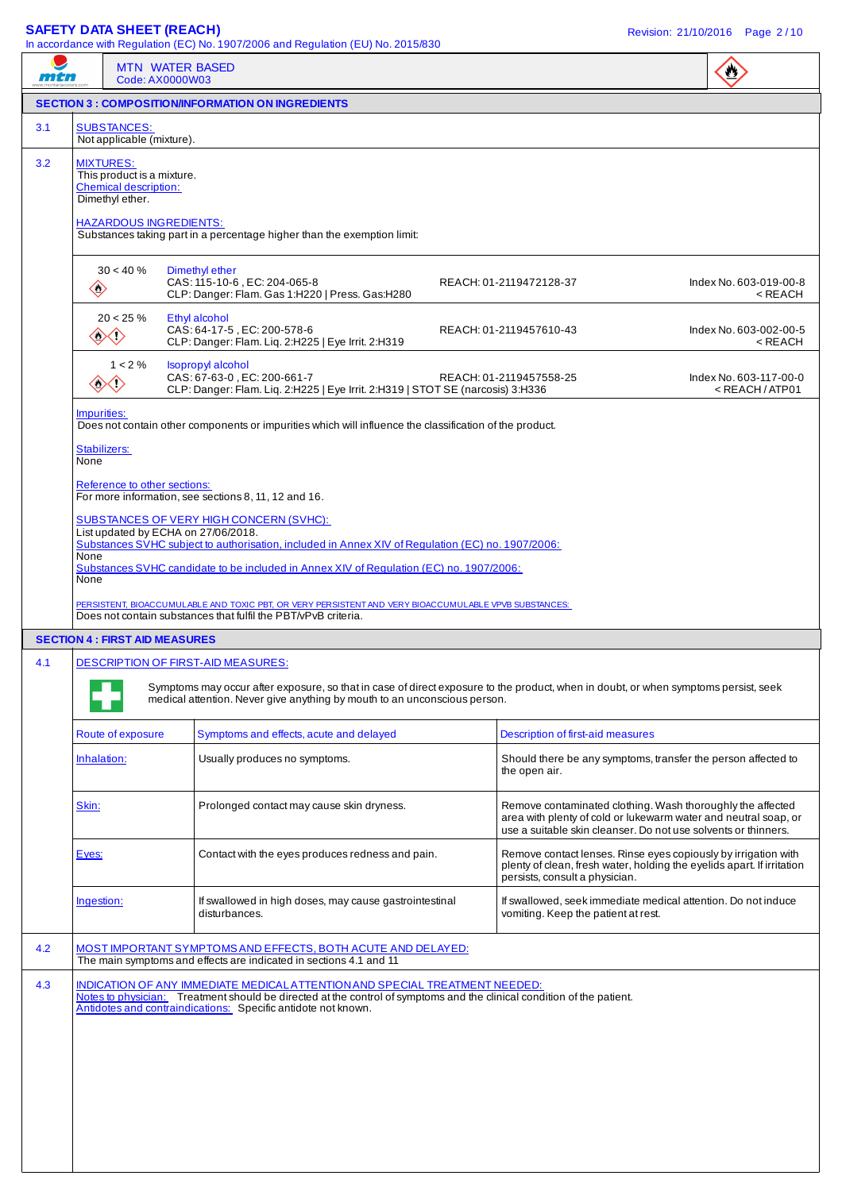#### **SAFETY DATA SHEET (REACH)** Revision: 21/10/2016 Page 2 / 10

| mtn |                                                                                                                                    | <b>MTN WATER BASED</b><br>Code: AX0000W03                                                                                                                                                                                                                              |                                                                                                                                                                                                 | $\mathbf{C}$                                              |
|-----|------------------------------------------------------------------------------------------------------------------------------------|------------------------------------------------------------------------------------------------------------------------------------------------------------------------------------------------------------------------------------------------------------------------|-------------------------------------------------------------------------------------------------------------------------------------------------------------------------------------------------|-----------------------------------------------------------|
|     |                                                                                                                                    | <b>SECTION 3 : COMPOSITION/INFORMATION ON INGREDIENTS</b>                                                                                                                                                                                                              |                                                                                                                                                                                                 |                                                           |
| 3.1 | <b>SUBSTANCES:</b><br>Not applicable (mixture).                                                                                    |                                                                                                                                                                                                                                                                        |                                                                                                                                                                                                 |                                                           |
| 3.2 | <b>MIXTURES:</b><br>This product is a mixture.<br><b>Chemical description:</b><br>Dimethyl ether.<br><b>HAZARDOUS INGREDIENTS:</b> | Substances taking part in a percentage higher than the exemption limit:                                                                                                                                                                                                |                                                                                                                                                                                                 |                                                           |
|     | $30 < 40 \%$<br>$\langle \!\! \rangle$                                                                                             | Dimethyl ether<br>CAS: 115-10-6, EC: 204-065-8<br>CLP: Danger: Flam. Gas 1:H220   Press. Gas:H280                                                                                                                                                                      | REACH: 01-2119472128-37                                                                                                                                                                         | Index No. 603-019-00-8<br>$<$ REACH                       |
|     | $20 < 25 \%$<br>◇◇                                                                                                                 | Ethyl alcohol<br>CAS: 64-17-5, EC: 200-578-6<br>CLP: Danger: Flam. Liq. 2:H225   Eye Irrit. 2:H319                                                                                                                                                                     | REACH: 01-2119457610-43                                                                                                                                                                         | Index No. 603-002-00-5<br>$<$ REACH                       |
|     | $1 < 2\%$<br><b>③〈'〉</b>                                                                                                           | <b>Isopropyl alcohol</b><br>CAS: 67-63-0, EC: 200-661-7<br>CLP: Danger: Flam. Lig. 2:H225   Eye Irrit. 2:H319   STOT SE (narcosis) 3:H336                                                                                                                              | REACH: 01-2119457558-25                                                                                                                                                                         | Index No. 603-117-00-0<br><reach atp01<="" td=""></reach> |
|     | Impurities:                                                                                                                        | Does not contain other components or impurities which will influence the classification of the product.                                                                                                                                                                |                                                                                                                                                                                                 |                                                           |
|     | Stabilizers:<br>None<br>Reference to other sections:                                                                               |                                                                                                                                                                                                                                                                        |                                                                                                                                                                                                 |                                                           |
|     |                                                                                                                                    | For more information, see sections 8, 11, 12 and 16.<br>SUBSTANCES OF VERY HIGH CONCERN (SVHC):                                                                                                                                                                        |                                                                                                                                                                                                 |                                                           |
|     | None<br>None                                                                                                                       | List updated by ECHA on 27/06/2018.<br>Substances SVHC subject to authorisation, included in Annex XIV of Regulation (EC) no. 1907/2006:<br>Substances SVHC candidate to be included in Annex XIV of Regulation (EC) no. 1907/2006:                                    |                                                                                                                                                                                                 |                                                           |
|     |                                                                                                                                    | PERSISTENT, BIOACCUMULABLE AND TOXIC PBT, OR VERY PERSISTENT AND VERY BIOACCUMULABLE VPVB SUBSTANCES:<br>Does not contain substances that fulfil the PBT/vPvB criteria.                                                                                                |                                                                                                                                                                                                 |                                                           |
|     | <b>SECTION 4 : FIRST AID MEASURES</b>                                                                                              |                                                                                                                                                                                                                                                                        |                                                                                                                                                                                                 |                                                           |
| 4.1 | <b>Contract Contract Contract</b>                                                                                                  | DESCRIPTION OF FIRST-AID MEASURES:<br>Symptoms may occur after exposure, so that in case of direct exposure to the product, when in doubt, or when symptoms persist, seek<br>medical attention. Never give anything by mouth to an unconscious person.                 |                                                                                                                                                                                                 |                                                           |
|     | Route of exposure                                                                                                                  | Symptoms and effects, acute and delayed                                                                                                                                                                                                                                | <b>Description of first-aid measures</b>                                                                                                                                                        |                                                           |
|     | Inhalation:                                                                                                                        | Usually produces no symptoms.                                                                                                                                                                                                                                          | Should there be any symptoms, transfer the person affected to<br>the open air.                                                                                                                  |                                                           |
|     | Skin:                                                                                                                              | Prolonged contact may cause skin dryness.                                                                                                                                                                                                                              | Remove contaminated clothing. Wash thoroughly the affected<br>area with plenty of cold or lukewarm water and neutral soap, or<br>use a suitable skin cleanser. Do not use solvents or thinners. |                                                           |
|     | Eyes:                                                                                                                              | Contact with the eyes produces redness and pain.                                                                                                                                                                                                                       | Remove contact lenses. Rinse eyes copiously by irrigation with<br>plenty of clean, fresh water, holding the eyelids apart. If irritation<br>persists, consult a physician.                      |                                                           |
|     | Ingestion:                                                                                                                         | If swallowed in high doses, may cause gastrointestinal<br>disturbances.                                                                                                                                                                                                | If swallowed, seek immediate medical attention. Do not induce<br>vomiting. Keep the patient at rest.                                                                                            |                                                           |
| 4.2 |                                                                                                                                    | MOST IMPORTANT SYMPTOMS AND EFFECTS, BOTH ACUTE AND DELAYED:<br>The main symptoms and effects are indicated in sections 4.1 and 11                                                                                                                                     |                                                                                                                                                                                                 |                                                           |
| 4.3 |                                                                                                                                    | INDICATION OF ANY IMMEDIATE MEDICAL ATTENTION AND SPECIAL TREATMENT NEEDED:<br>Notes to physician: Treatment should be directed at the control of symptoms and the clinical condition of the patient.<br>Antidotes and contraindications: Specific antidote not known. |                                                                                                                                                                                                 |                                                           |
|     |                                                                                                                                    |                                                                                                                                                                                                                                                                        |                                                                                                                                                                                                 |                                                           |
|     |                                                                                                                                    |                                                                                                                                                                                                                                                                        |                                                                                                                                                                                                 |                                                           |
|     |                                                                                                                                    |                                                                                                                                                                                                                                                                        |                                                                                                                                                                                                 |                                                           |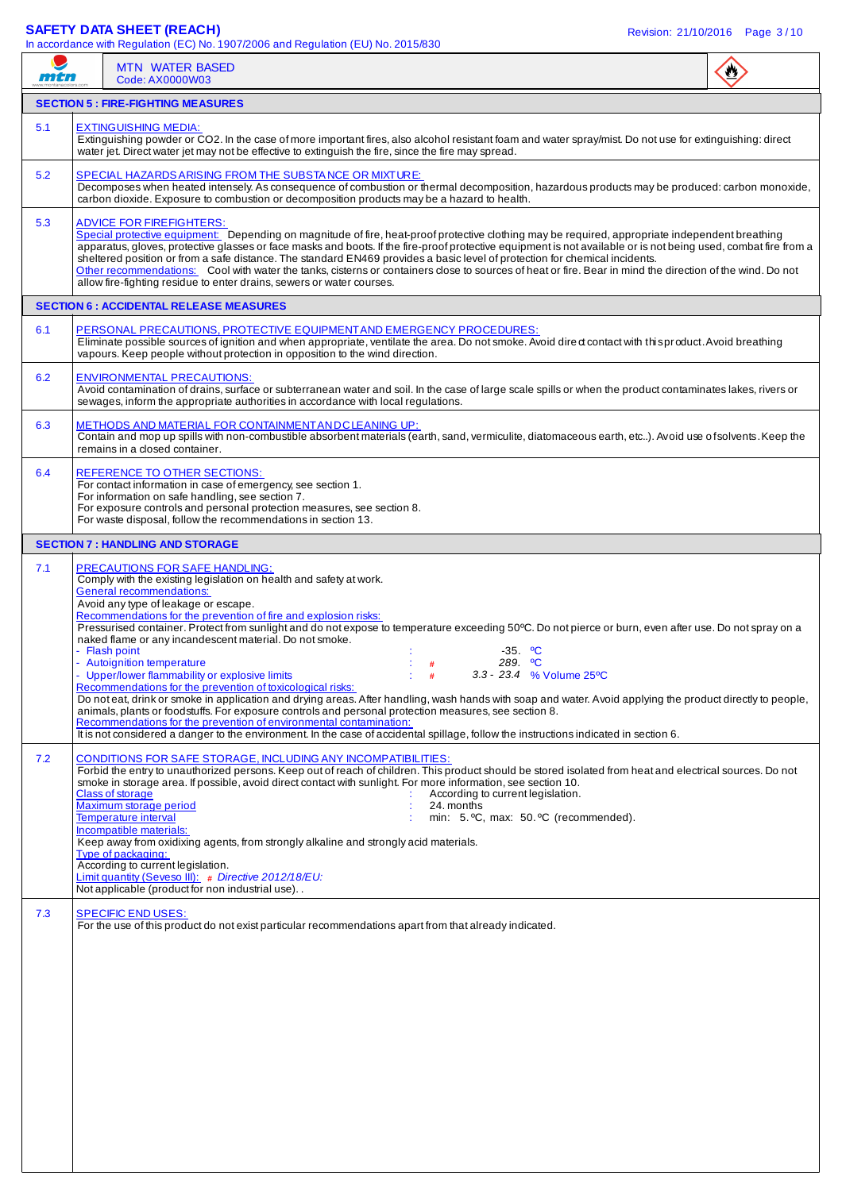### **SAFETY DATA SHEET (REACH)** Revision: 21/10/2016 Page 3 / 10

|     | In accordance with Regulation (EC) No. $1907/2006$ and Regulation (EU) No. 2015/830                                                                                                                                                                                                                                                                                                                                                                                                                                                                                                                                                                                                                                                                                                                                                                                                                                                                                                                                                                                                                                                                                                              |  |
|-----|--------------------------------------------------------------------------------------------------------------------------------------------------------------------------------------------------------------------------------------------------------------------------------------------------------------------------------------------------------------------------------------------------------------------------------------------------------------------------------------------------------------------------------------------------------------------------------------------------------------------------------------------------------------------------------------------------------------------------------------------------------------------------------------------------------------------------------------------------------------------------------------------------------------------------------------------------------------------------------------------------------------------------------------------------------------------------------------------------------------------------------------------------------------------------------------------------|--|
| mtn | <b>MTN WATER BASED</b><br>Code: AX0000W03                                                                                                                                                                                                                                                                                                                                                                                                                                                                                                                                                                                                                                                                                                                                                                                                                                                                                                                                                                                                                                                                                                                                                        |  |
|     | <b>SECTION 5 : FIRE-FIGHTING MEASURES</b>                                                                                                                                                                                                                                                                                                                                                                                                                                                                                                                                                                                                                                                                                                                                                                                                                                                                                                                                                                                                                                                                                                                                                        |  |
| 5.1 | <b>EXTINGUISHING MEDIA:</b><br>Extinguishing powder or CO2. In the case of more important fires, also alcohol resistant foam and water spray/mist. Do not use for extinguishing: direct<br>water jet. Direct water jet may not be effective to extinguish the fire, since the fire may spread.                                                                                                                                                                                                                                                                                                                                                                                                                                                                                                                                                                                                                                                                                                                                                                                                                                                                                                   |  |
| 5.2 | SPECIAL HAZARDS ARISING FROM THE SUBSTANCE OR MIXTURE:<br>Decomposes when heated intensely. As consequence of combustion or thermal decomposition, hazardous products may be produced: carbon monoxide,<br>carbon dioxide. Exposure to combustion or decomposition products may be a hazard to health.                                                                                                                                                                                                                                                                                                                                                                                                                                                                                                                                                                                                                                                                                                                                                                                                                                                                                           |  |
| 5.3 | <b>ADVICE FOR FIREFIGHTERS:</b><br>Special protective equipment: Depending on magnitude of fire, heat-proof protective clothing may be required, appropriate independent breathing<br>apparatus, gloves, protective glasses or face masks and boots. If the fire-proof protective equipment is not available or is not being used, combat fire from a<br>sheltered position or from a safe distance. The standard EN469 provides a basic level of protection for chemical incidents.<br>Other recommendations: Cool with water the tanks, cisterns or containers close to sources of heat or fire. Bear in mind the direction of the wind. Do not<br>allow fire-fighting residue to enter drains, sewers or water courses.                                                                                                                                                                                                                                                                                                                                                                                                                                                                       |  |
|     | <b>SECTION 6 : ACCIDENTAL RELEASE MEASURES</b>                                                                                                                                                                                                                                                                                                                                                                                                                                                                                                                                                                                                                                                                                                                                                                                                                                                                                                                                                                                                                                                                                                                                                   |  |
| 6.1 | PERSONAL PRECAUTIONS, PROTECTIVE EQUIPMENT AND EMERGENCY PROCEDURES:<br>Eliminate possible sources of ignition and when appropriate, ventilate the area. Do not smoke. Avoid dired contact with this product. Avoid breathing<br>vapours. Keep people without protection in opposition to the wind direction.                                                                                                                                                                                                                                                                                                                                                                                                                                                                                                                                                                                                                                                                                                                                                                                                                                                                                    |  |
| 6.2 | <b>ENVIRONMENTAL PRECAUTIONS:</b><br>Avoid contamination of drains, surface or subterranean water and soil. In the case of large scale spills or when the product contaminates lakes, rivers or<br>sewages, inform the appropriate authorities in accordance with local regulations.                                                                                                                                                                                                                                                                                                                                                                                                                                                                                                                                                                                                                                                                                                                                                                                                                                                                                                             |  |
| 6.3 | <b>METHODS AND MATERIAL FOR CONTAINMENT AND CLEANING UP:</b><br>Contain and mop up spills with non-combustible absorbent materials (earth, sand, vermiculite, diatomaceous earth, etc). Avoid use of solvents. Keep the<br>remains in a closed container.                                                                                                                                                                                                                                                                                                                                                                                                                                                                                                                                                                                                                                                                                                                                                                                                                                                                                                                                        |  |
| 6.4 | <b>REFERENCE TO OTHER SECTIONS:</b><br>For contact information in case of emergency, see section 1.<br>For information on safe handling, see section 7.<br>For exposure controls and personal protection measures, see section 8.<br>For waste disposal, follow the recommendations in section 13.                                                                                                                                                                                                                                                                                                                                                                                                                                                                                                                                                                                                                                                                                                                                                                                                                                                                                               |  |
|     | <b>SECTION 7: HANDLING AND STORAGE</b>                                                                                                                                                                                                                                                                                                                                                                                                                                                                                                                                                                                                                                                                                                                                                                                                                                                                                                                                                                                                                                                                                                                                                           |  |
| 7.1 | <b>PRECAUTIONS FOR SAFE HANDLING:</b><br>Comply with the existing legislation on health and safety at work.<br>General recommendations:<br>Avoid any type of leakage or escape.<br>Recommendations for the prevention of fire and explosion risks:<br>Pressurised container. Protect from sunlight and do not expose to temperature exceeding 50°C. Do not pierce or burn, even after use. Do not spray on a<br>naked flame or any incandescent material. Do not smoke.<br>- Flash point<br>$-35.$ °C<br>289. <sup>o</sup> C<br>- Autoignition temperature<br>#<br>3.3 - 23.4 % Volume 25°C<br>- Upper/lower flammability or explosive limits<br>Recommendations for the prevention of toxicological risks:<br>Do noteat, drink or smoke in application and drying areas. After handling, wash hands with soap and water. Avoid applying the product directly to people,<br>animals, plants or foodstuffs. For exposure controls and personal protection measures, see section 8.<br>Recommendations for the prevention of environmental contamination:<br>It is not considered a danger to the environment. In the case of accidental spillage, follow the instructions indicated in section 6. |  |
| 7.2 | <b>CONDITIONS FOR SAFE STORAGE, INCLUDING ANY INCOMPATIBILITIES:</b><br>Forbid the entry to unauthorized persons. Keep out of reach of children. This product should be stored isolated from heat and electrical sources. Do not<br>smoke in storage area. If possible, avoid direct contact with sunlight. For more information, see section 10.<br><b>Class of storage</b><br>According to current legislation.<br>Maximum storage period<br>24. months<br><b>Temperature interval</b><br>min: 5. °C, max: 50. °C (recommended).<br>Incompatible materials:<br>Keep away from oxidixing agents, from strongly alkaline and strongly acid materials.<br>Type of packaging:<br>According to current legislation.<br>Limit quantity (Seveso III): # Directive 2012/18/EU:<br>Not applicable (product for non industrial use)                                                                                                                                                                                                                                                                                                                                                                      |  |
| 7.3 | <b>SPECIFIC END USES:</b><br>For the use of this product do not exist particular recommendations apart from that already indicated.                                                                                                                                                                                                                                                                                                                                                                                                                                                                                                                                                                                                                                                                                                                                                                                                                                                                                                                                                                                                                                                              |  |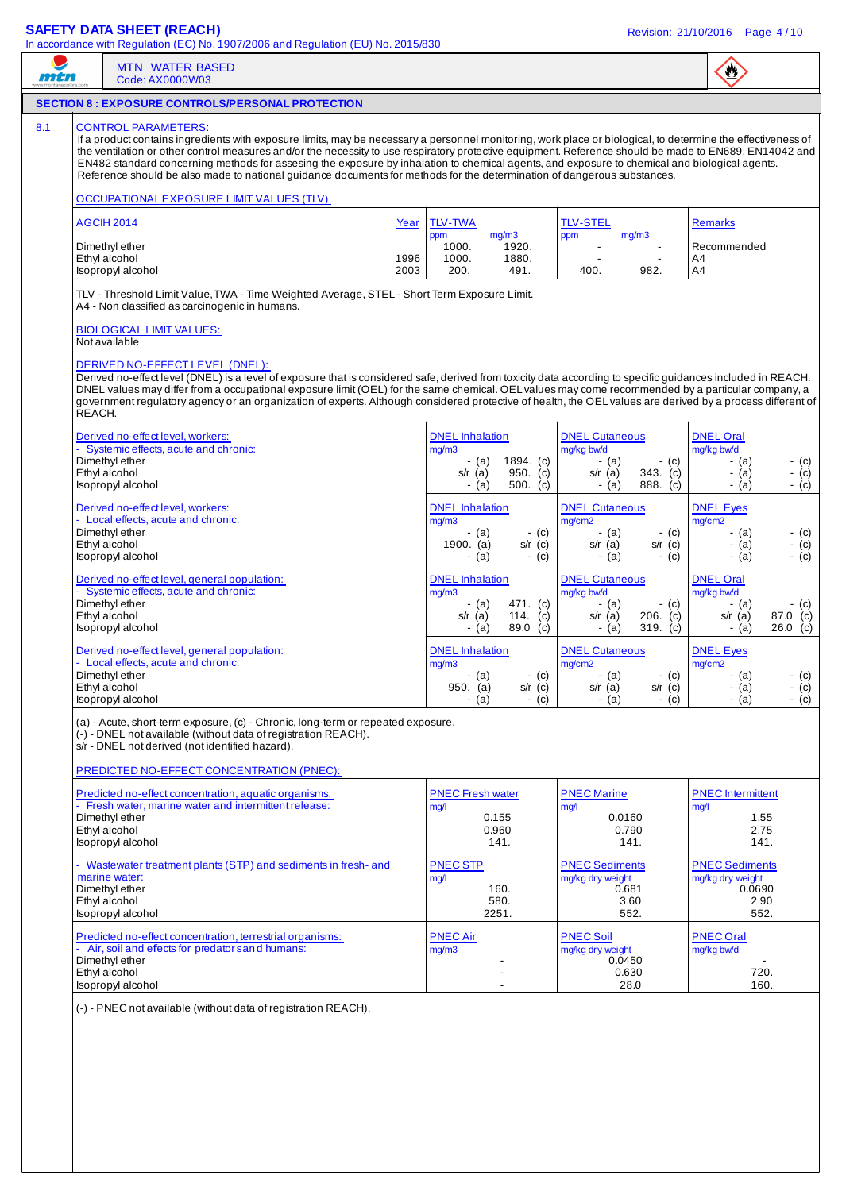### **SAFETY DATA SHEET (REACH)** Revision: 21/10/2016 Page 4 / 10

| men    | <b>MTN WATER BASED</b><br>Code: AX0000W03                                                                                                                                                                                                                                                                                                                                                                                                                                                                                                                                                                                                                                                                               |                      |                                                                  |                                     |                                                                        |                                 | $\bullet$                                                     |                                 |
|--------|-------------------------------------------------------------------------------------------------------------------------------------------------------------------------------------------------------------------------------------------------------------------------------------------------------------------------------------------------------------------------------------------------------------------------------------------------------------------------------------------------------------------------------------------------------------------------------------------------------------------------------------------------------------------------------------------------------------------------|----------------------|------------------------------------------------------------------|-------------------------------------|------------------------------------------------------------------------|---------------------------------|---------------------------------------------------------------|---------------------------------|
|        | <b>SECTION 8 : EXPOSURE CONTROLS/PERSONAL PROTECTION</b>                                                                                                                                                                                                                                                                                                                                                                                                                                                                                                                                                                                                                                                                |                      |                                                                  |                                     |                                                                        |                                 |                                                               |                                 |
|        | <b>CONTROL PARAMETERS:</b><br>If a product contains ingredients with exposure limits, may be necessary a personnel monitoring, work place or biological, to determine the effectiveness of<br>the ventilation or other control measures and/or the necessity to use respiratory protective equipment. Reference should be made to EN689, EN14042 and<br>EN482 standard concerning methods for assesing the exposure by inhalation to chemical agents, and exposure to chemical and biological agents.<br>Reference should be also made to national guidance documents for methods for the determination of dangerous substances.                                                                                        |                      |                                                                  |                                     |                                                                        |                                 |                                                               |                                 |
|        | <b>OCCUPATIONAL EXPOSURE LIMIT VALUES (TLV)</b>                                                                                                                                                                                                                                                                                                                                                                                                                                                                                                                                                                                                                                                                         |                      |                                                                  |                                     |                                                                        |                                 |                                                               |                                 |
|        | <b>AGCIH 2014</b><br>Dimethyl ether<br>Ethyl alcohol<br>Isopropyl alcohol                                                                                                                                                                                                                                                                                                                                                                                                                                                                                                                                                                                                                                               | Year<br>1996<br>2003 | <b>TLV-TWA</b><br>mq/m3<br>ppm<br>1000.<br>1000.<br>200.         | 1920.<br>1880.<br>491.              | <b>TLV-STEL</b><br>ppm<br>$\mathcal{L}_{\mathcal{A}}$<br>400.          | mg/m3<br>$\blacksquare$<br>982. | <b>Remarks</b><br>Recommended<br>A4<br>A4                     |                                 |
|        | TLV - Threshold Limit Value, TWA - Time Weighted Average, STEL - Short Term Exposure Limit.<br>A4 - Non classified as carcinogenic in humans.<br><b>BIOLOGICAL LIMIT VALUES:</b><br>Not available<br>DERIVED NO-EFFECT LEVEL (DNEL):<br>Derived no-effect level (DNEL) is a level of exposure that is considered safe, derived from toxicity data according to specific guidances included in REACH.<br>DNEL values may differ from a occupational exposure limit (OEL) for the same chemical. OEL values may come recommended by a particular company, a<br>government regulatory agency or an organization of experts. Although considered protective of health, the OEL values are derived by a process different of |                      |                                                                  |                                     |                                                                        |                                 |                                                               |                                 |
| REACH. | Derived no-effect level, workers:<br>- Systemic effects, acute and chronic:<br>Dimethyl ether<br>Ethyl alcohol<br>Isopropyl alcohol                                                                                                                                                                                                                                                                                                                                                                                                                                                                                                                                                                                     |                      | <b>DNEL</b> Inhalation<br>mg/m3<br>- (a)<br>$s/r$ (a)<br>$-$ (a) | 1894. (c)<br>950. $(c)$<br>500. (c) | <b>DNEL Cutaneous</b><br>mg/kg bw/d<br>$-$ (a)<br>$s/r$ (a)<br>$-$ (a) | $-$ (c)<br>343. (c)<br>888. (c) | <b>DNEL Oral</b><br>mg/kg bw/d<br>- (a)<br>- (a)<br>$-$ (a)   | - (c)<br>$-$ (c)<br>$-$ (c)     |
|        | Derived no-effect level, workers:<br>- Local effects, acute and chronic:<br>Dimethyl ether<br>Ethyl alcohol<br>Isopropyl alcohol                                                                                                                                                                                                                                                                                                                                                                                                                                                                                                                                                                                        |                      | <b>DNEL</b> Inhalation<br>mg/m3<br>- (a)<br>1900. (a)<br>- (a)   | - (c)<br>$s/r$ (c)<br>- (c)         | <b>DNEL Cutaneous</b><br>mg/cm2<br>- (a)<br>s/r $(a)$<br>$-$ (a)       | $-$ (c)<br>$s/r$ (c)<br>$-$ (c) | <b>DNEL Eyes</b><br>mg/cm2<br>- (a)<br>- (a)<br>$-$ (a)       | - (c)<br>$-$ (c)<br>$-$ (c)     |
|        | Derived no-effect level, general population:<br>- Systemic effects, acute and chronic:<br>Dimethyl ether<br>Ethyl alcohol<br>Isopropyl alcohol                                                                                                                                                                                                                                                                                                                                                                                                                                                                                                                                                                          |                      | <b>DNEL</b> Inhalation<br>mg/m3<br>- (a)<br>$s/r$ (a)<br>- (a)   | 471. (c)<br>114. $(c)$<br>89.0 (c)  | <b>DNEL Cutaneous</b><br>mg/kg bw/d<br>- (a)<br>$s/r$ (a)<br>$-$ (a)   | - (c)<br>206. (c)<br>319. (c)   | <b>DNEL Oral</b><br>mg/kg bw/d<br>- (a)<br>$s/r$ (a)<br>- (a) | - (c)<br>87.0 (c)<br>$26.0$ (c) |
|        | Derived no-effect level, general population:<br>- Local effects, acute and chronic:<br>Dimethyl ether<br>Ethyl alcohol<br>Isopropyl alcohol<br>(a) - Acute, short-term exposure, (c) - Chronic, long-term or repeated exposure.                                                                                                                                                                                                                                                                                                                                                                                                                                                                                         |                      | <b>DNEL</b> Inhalation<br>mq/m3<br>- (a)<br>950. (a)<br>- (a)    | - (c)<br>$s/r$ (c)<br>$-$ (c)       | <b>DNEL Cutaneous</b><br>mg/cm2<br>- (a)<br>$s/r$ (a)<br>$-$ (a)       | $-$ (c)<br>$s/r$ (c)<br>$-$ (c) | <b>DNEL Eyes</b><br>mg/cm2<br>- (a)<br>$-$ (a)<br>- (a)       | - (c)<br>- $(c)$<br>$-$ (c)     |
|        | (-) - DNEL not available (without data of registration REACH).<br>s/r - DNEL not derived (not identified hazard).<br>PREDICTED NO-EFFECT CONCENTRATION (PNEC):                                                                                                                                                                                                                                                                                                                                                                                                                                                                                                                                                          |                      |                                                                  |                                     |                                                                        |                                 |                                                               |                                 |
|        | Predicted no-effect concentration, aquatic organisms:<br>- Fresh water, marine water and intermittent release:<br>Dimethyl ether<br>Ethyl alcohol<br>Isopropyl alcohol                                                                                                                                                                                                                                                                                                                                                                                                                                                                                                                                                  |                      | <b>PNEC Fresh water</b><br>mg/l<br>0.155<br>0.960<br>141.        |                                     | <b>PNEC Marine</b><br>mg/l<br>0.0160<br>0.790                          | 141.                            | <b>PNEC</b> Intermittent<br>mg/l<br>1.55                      | 2.75<br>141.                    |
|        | - Wastewater treatment plants (STP) and sediments in fresh- and<br>marine water:<br>Dimethyl ether<br>Ethyl alcohol<br>Isopropyl alcohol                                                                                                                                                                                                                                                                                                                                                                                                                                                                                                                                                                                |                      | <b>PNEC STP</b><br>mg/l<br>160.<br>580.<br>2251.                 |                                     | <b>PNEC Sediments</b><br>mg/kg dry weight<br>0.681                     | 3.60<br>552.                    | <b>PNEC Sediments</b><br>mg/kg dry weight<br>0.0690<br>552.   | 2.90                            |
|        | Predicted no-effect concentration, terrestrial organisms:<br>- Air, soil and effects for predator s and humans:<br>Dimethyl ether<br>Ethyl alcohol<br>Isopropyl alcohol                                                                                                                                                                                                                                                                                                                                                                                                                                                                                                                                                 |                      | <b>PNEC Air</b><br>mg/m3<br>$\blacksquare$                       |                                     | <b>PNEC Soil</b><br>mg/kg dry weight<br>0.0450<br>0.630                | 28.0                            | <b>PNEC Oral</b><br>mg/kg bw/d                                | 720.<br>160.                    |
|        | (-) - PNEC not available (without data of registration REACH).                                                                                                                                                                                                                                                                                                                                                                                                                                                                                                                                                                                                                                                          |                      |                                                                  |                                     |                                                                        |                                 |                                                               |                                 |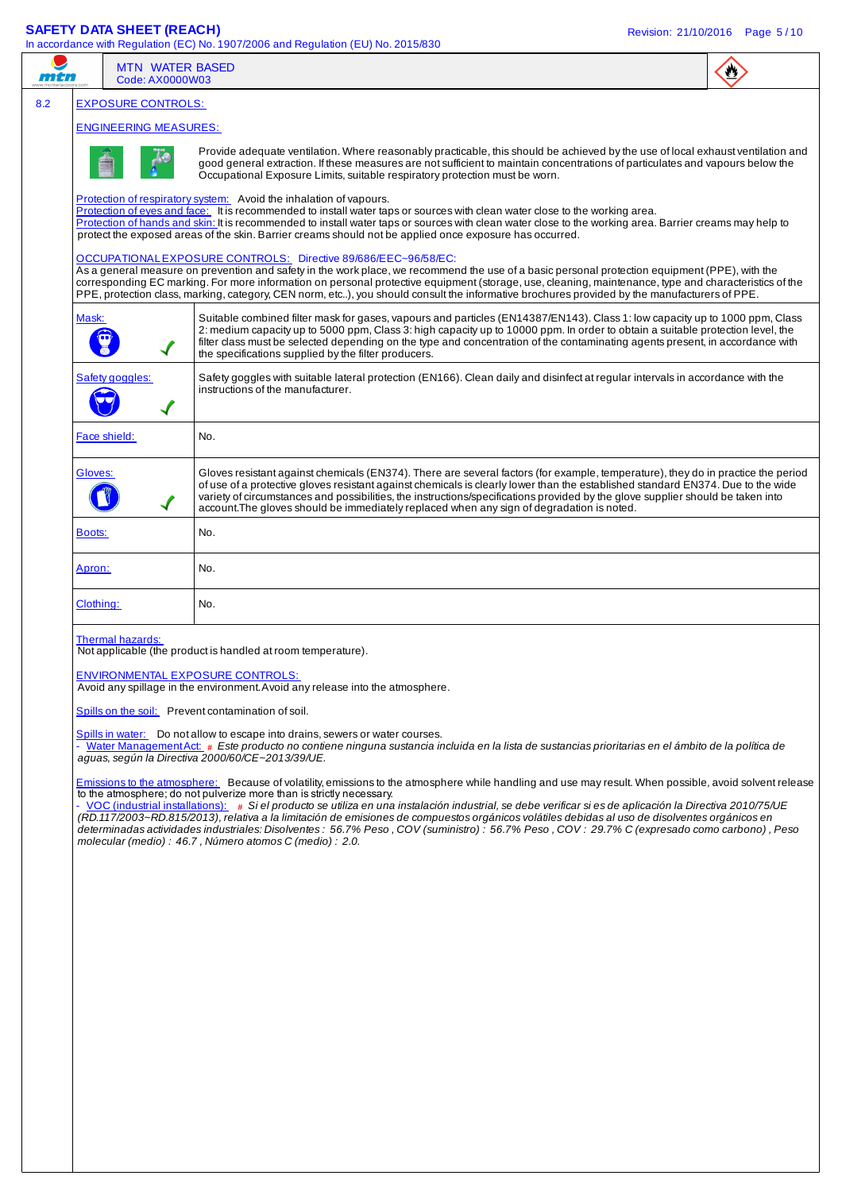### **SAFETY DATA SHEET (REACH)** Revision: 21/10/2016 Page 5 / 10

|           | Code: AX0000W03              | <b>MTN WATER BASED</b>                                                                                                                                                                                                                                                                                                                                                                                                                                                                                                                                                                                                                                                                                                                                     |  |
|-----------|------------------------------|------------------------------------------------------------------------------------------------------------------------------------------------------------------------------------------------------------------------------------------------------------------------------------------------------------------------------------------------------------------------------------------------------------------------------------------------------------------------------------------------------------------------------------------------------------------------------------------------------------------------------------------------------------------------------------------------------------------------------------------------------------|--|
|           | <b>EXPOSURE CONTROLS:</b>    |                                                                                                                                                                                                                                                                                                                                                                                                                                                                                                                                                                                                                                                                                                                                                            |  |
|           | <b>ENGINEERING MEASURES:</b> |                                                                                                                                                                                                                                                                                                                                                                                                                                                                                                                                                                                                                                                                                                                                                            |  |
|           |                              | Provide adequate ventilation. Where reasonably practicable, this should be achieved by the use of local exhaust ventilation and<br>good general extraction. If these measures are not sufficient to maintain concentrations of particulates and vapours below the<br>Occupational Exposure Limits, suitable respiratory protection must be worn.                                                                                                                                                                                                                                                                                                                                                                                                           |  |
|           |                              | Protection of respiratory system: Avoid the inhalation of vapours.<br>Protection of eyes and face: It is recommended to install water taps or sources with clean water close to the working area.<br>Protection of hands and skin: It is recommended to install water taps or sources with clean water close to the working area. Barrier creams may help to<br>protect the exposed areas of the skin. Barrier creams should not be applied once exposure has occurred.                                                                                                                                                                                                                                                                                    |  |
|           |                              | OCCUPATIONAL EXPOSURE CONTROLS: Directive 89/686/EEC~96/58/EC:<br>As a general measure on prevention and safety in the work place, we recommend the use of a basic personal protection equipment (PPE), with the<br>corresponding EC marking. For more information on personal protective equipment (storage, use, cleaning, maintenance, type and characteristics of the<br>PPE, protection class, marking, category, CEN norm, etc), you should consult the informative brochures provided by the manufacturers of PPE.                                                                                                                                                                                                                                  |  |
| Mask:     |                              | Suitable combined filter mask for gases, vapours and particles (EN14387/EN143). Class 1: low capacity up to 1000 ppm, Class<br>2: medium capacity up to 5000 ppm, Class 3: high capacity up to 10000 ppm. In order to obtain a suitable protection level, the<br>filter class must be selected depending on the type and concentration of the contaminating agents present, in accordance with<br>the specifications supplied by the filter producers.                                                                                                                                                                                                                                                                                                     |  |
|           | Safety goggles:              | Safety goggles with suitable lateral protection (EN166). Clean daily and disinfect at regular intervals in accordance with the<br>instructions of the manufacturer.                                                                                                                                                                                                                                                                                                                                                                                                                                                                                                                                                                                        |  |
|           | Face shield:                 | No.                                                                                                                                                                                                                                                                                                                                                                                                                                                                                                                                                                                                                                                                                                                                                        |  |
| Gloves:   |                              | Gloves resistant against chemicals (EN374). There are several factors (for example, temperature), they do in practice the period<br>of use of a protective gloves resistant against chemicals is clearly lower than the established standard EN374. Due to the wide<br>variety of circumstances and possibilities, the instructions/specifications provided by the glove supplier should be taken into<br>account. The gloves should be immediately replaced when any sign of degradation is noted.                                                                                                                                                                                                                                                        |  |
| Boots:    |                              | No.                                                                                                                                                                                                                                                                                                                                                                                                                                                                                                                                                                                                                                                                                                                                                        |  |
| Apron:    |                              | No.                                                                                                                                                                                                                                                                                                                                                                                                                                                                                                                                                                                                                                                                                                                                                        |  |
| Clothing: |                              | No.                                                                                                                                                                                                                                                                                                                                                                                                                                                                                                                                                                                                                                                                                                                                                        |  |
|           | Thermal hazards:             | Not applicable (the product is handled at room temperature).<br><b>ENVIRONMENTAL EXPOSURE CONTROLS:</b><br>Avoid any spillage in the environment. Avoid any release into the atmosphere.<br>Spills on the soil: Prevent contamination of soil.<br>Spills in water: Do not allow to escape into drains, sewers or water courses.<br>- Water Management Act: # Este producto no contiene ninguna sustancia incluida en la lista de sustancias prioritarias en el ámbito de la política de<br>aguas, según la Directiva 2000/60/CE~2013/39/UE.                                                                                                                                                                                                                |  |
|           |                              | Emissions to the atmosphere: Because of volatility, emissions to the atmosphere while handling and use may result. When possible, avoid solvent release<br>to the atmosphere; do not pulverize more than is strictly necessary.<br>- VOC (industrial installations): # Si el producto se utiliza en una instalación industrial, se debe verificar si es de aplicación la Directiva 2010/75/UE<br>(RD.117/2003~RD.815/2013), relativa a la limitación de emisiones de compuestos orgánicos volátiles debidas al uso de disolventes orgánicos en<br>determinadas actividades industriales: Disolventes : 56.7% Peso, COV (suministro) : 56.7% Peso, COV : 29.7% C (expresado como carbono), Peso<br>molecular (medio) : 46.7, Número atomos C (medio) : 2.0. |  |
|           |                              |                                                                                                                                                                                                                                                                                                                                                                                                                                                                                                                                                                                                                                                                                                                                                            |  |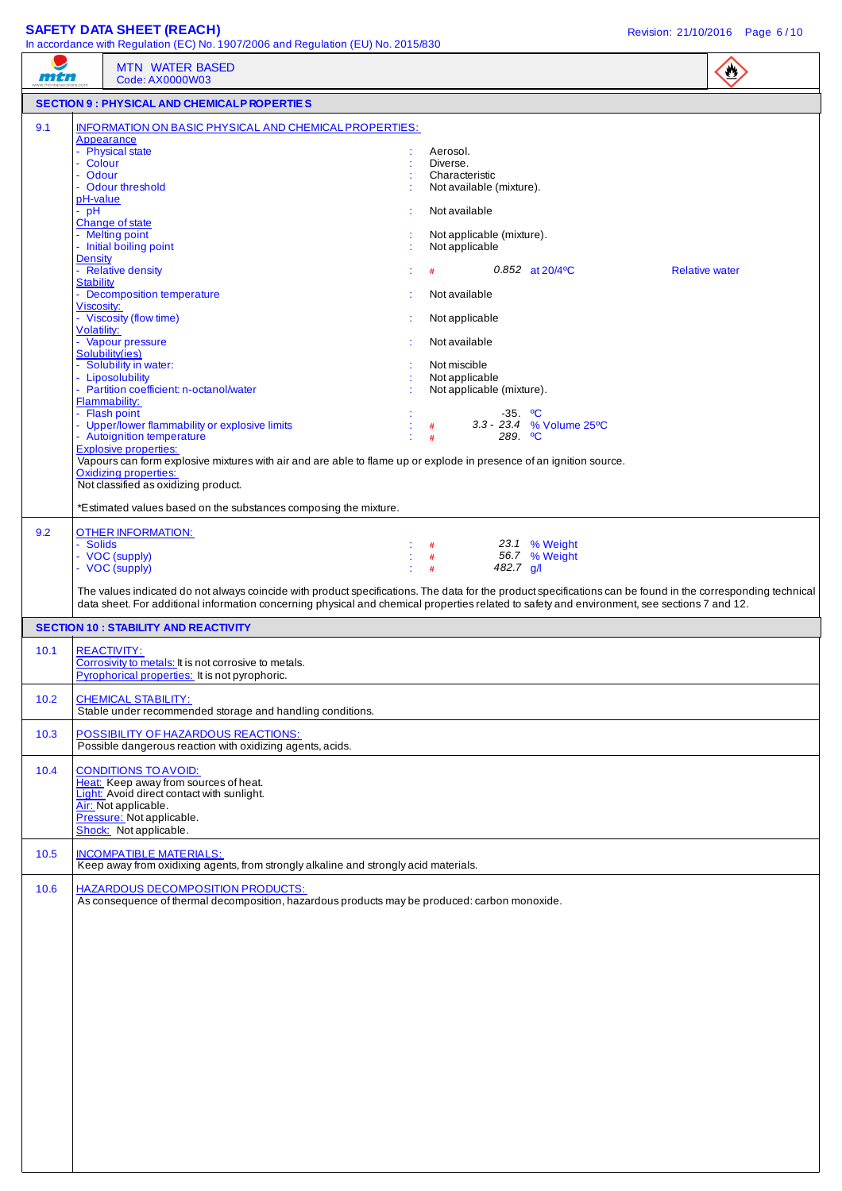## **SAFETY DATA SHEET (REACH) Revision: 21/10/2016** Page 6/10

|      | In accordance with Regulation (EC) No. 1907/2006 and Regulation (EU) No. 2015/830                                                                                                                                                                                                                            |                                                                    |                      |                                  |                       |
|------|--------------------------------------------------------------------------------------------------------------------------------------------------------------------------------------------------------------------------------------------------------------------------------------------------------------|--------------------------------------------------------------------|----------------------|----------------------------------|-----------------------|
| mtn  | <b>MTN WATER BASED</b><br>Code: AX0000W03                                                                                                                                                                                                                                                                    |                                                                    |                      |                                  | $\mathbf{C}$          |
|      | <b>SECTION 9 : PHYSICAL AND CHEMICALP ROPERTIES</b>                                                                                                                                                                                                                                                          |                                                                    |                      |                                  |                       |
| 9.1  | INFORMATION ON BASIC PHYSICAL AND CHEMICAL PROPERTIES:<br>Appearance<br>- Physical state<br>- Colour<br>- Odour<br>- Odour threshold                                                                                                                                                                         | Aerosol.<br>Diverse.<br>Characteristic<br>Not available (mixture). |                      |                                  |                       |
|      | pH-value<br>$-$ pH                                                                                                                                                                                                                                                                                           | Not available                                                      |                      |                                  |                       |
|      | Change of state<br>- Melting point<br>- Initial boiling point                                                                                                                                                                                                                                                | Not applicable (mixture).<br>Not applicable                        |                      |                                  |                       |
|      | <b>Density</b><br>- Relative density                                                                                                                                                                                                                                                                         |                                                                    |                      | $0.852$ at $20/4$ <sup>o</sup> C | <b>Relative water</b> |
|      | <b>Stability</b><br>- Decomposition temperature<br>Viscosity:                                                                                                                                                                                                                                                | Not available                                                      |                      |                                  |                       |
|      | - Viscosity (flow time)<br>Volatility:                                                                                                                                                                                                                                                                       | Not applicable                                                     |                      |                                  |                       |
|      | - Vapour pressure<br>Solubility(ies)                                                                                                                                                                                                                                                                         | Not available                                                      |                      |                                  |                       |
|      | - Solubility in water:<br>- Liposolubility<br>- Partition coefficient: n-octanol/water                                                                                                                                                                                                                       | Not miscible<br>Not applicable<br>Not applicable (mixture).        |                      |                                  |                       |
|      | Flammability:<br>- Flash point<br>- Upper/lower flammability or explosive limits<br>- Autoignition temperature<br><b>Explosive properties:</b><br>Vapours can form explosive mixtures with air and are able to flame up or explode in presence of an ignition source.                                        | #<br>#                                                             | $-35.$ °C<br>289. °C | 3.3 - 23.4 % Volume 25°C         |                       |
|      | <b>Oxidizing properties:</b><br>Not classified as oxidizing product.                                                                                                                                                                                                                                         |                                                                    |                      |                                  |                       |
|      | *Estimated values based on the substances composing the mixture.                                                                                                                                                                                                                                             |                                                                    |                      |                                  |                       |
| 9.2  | <b>OTHER INFORMATION:</b><br>- Solids<br>- VOC (supply)<br>- VOC (supply)                                                                                                                                                                                                                                    | #<br>$\#$<br>#                                                     | 482.7 g/l            | 23.1 % Weight<br>56.7 % Weight   |                       |
|      | The values indicated do not always coincide with product specifications. The data for the product specifications can be found in the corresponding technical<br>data sheet. For additional information concerning physical and chemical properties related to safety and environment, see sections 7 and 12. |                                                                    |                      |                                  |                       |
|      | <b>SECTION 10 : STABILITY AND REACTIVITY</b>                                                                                                                                                                                                                                                                 |                                                                    |                      |                                  |                       |
| 10.1 | <b>REACTIVITY:</b><br>Corrosivity to metals: It is not corrosive to metals.<br><u>Pyrophorical properties:</u> It is not pyrophoric.                                                                                                                                                                         |                                                                    |                      |                                  |                       |
| 10.2 | <b>CHEMICAL STABILITY:</b><br>Stable under recommended storage and handling conditions.                                                                                                                                                                                                                      |                                                                    |                      |                                  |                       |
| 10.3 | POSSIBILITY OF HAZARDOUS REACTIONS:<br>Possible dangerous reaction with oxidizing agents, acids.                                                                                                                                                                                                             |                                                                    |                      |                                  |                       |
| 10.4 | <b>CONDITIONS TO AVOID:</b><br>Heat: Keep away from sources of heat.<br>Light: Avoid direct contact with sunlight.<br>Air: Not applicable.<br>Pressure: Not applicable.<br>Shock: Not applicable.                                                                                                            |                                                                    |                      |                                  |                       |
| 10.5 | <b>INCOMPATIBLE MATERIALS:</b><br>Keep away from oxidixing agents, from strongly alkaline and strongly acid materials.                                                                                                                                                                                       |                                                                    |                      |                                  |                       |
| 10.6 | <b>HAZARDOUS DECOMPOSITION PRODUCTS:</b><br>As consequence of thermal decomposition, hazardous products may be produced: carbon monoxide.                                                                                                                                                                    |                                                                    |                      |                                  |                       |
|      |                                                                                                                                                                                                                                                                                                              |                                                                    |                      |                                  |                       |
|      |                                                                                                                                                                                                                                                                                                              |                                                                    |                      |                                  |                       |
|      |                                                                                                                                                                                                                                                                                                              |                                                                    |                      |                                  |                       |
|      |                                                                                                                                                                                                                                                                                                              |                                                                    |                      |                                  |                       |
|      |                                                                                                                                                                                                                                                                                                              |                                                                    |                      |                                  |                       |
|      |                                                                                                                                                                                                                                                                                                              |                                                                    |                      |                                  |                       |
|      |                                                                                                                                                                                                                                                                                                              |                                                                    |                      |                                  |                       |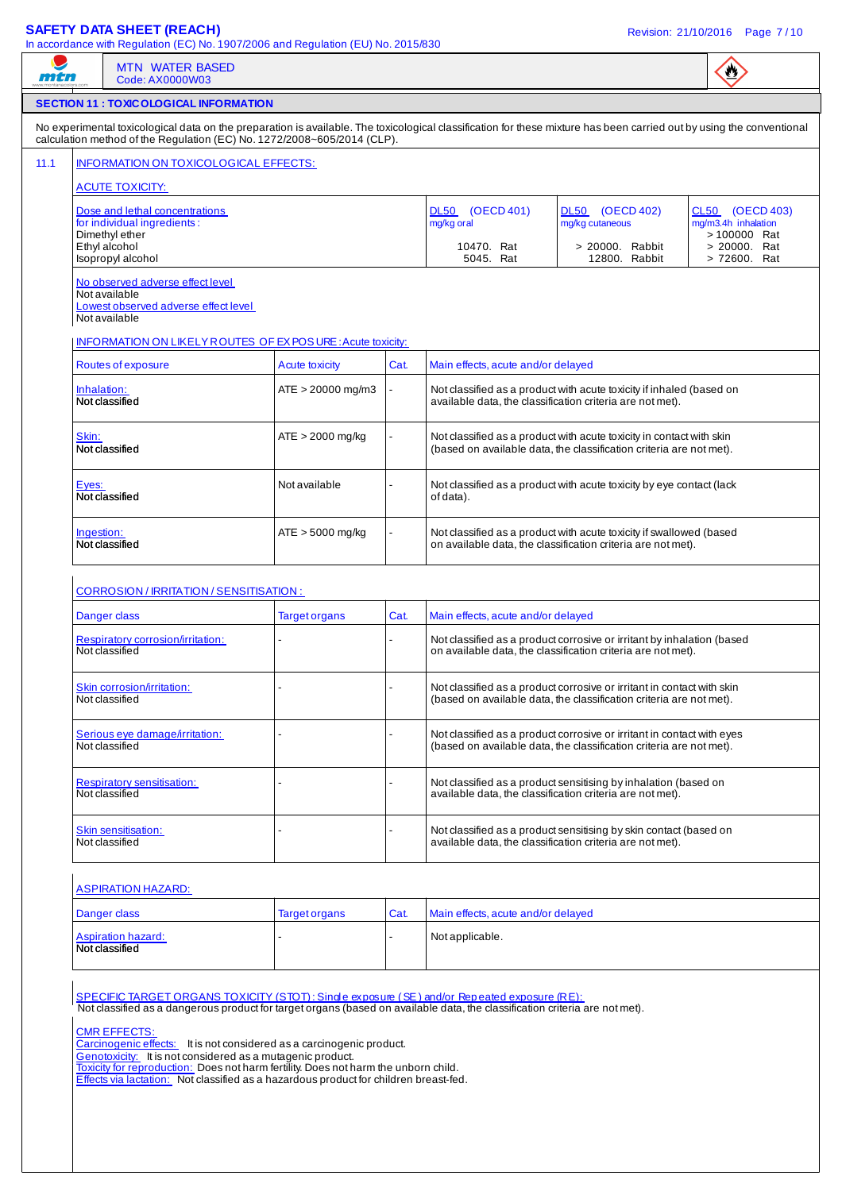### **SAFETY DATA SHEET (REACH)** Revision: 21/10/2016 Page 7 / 10

| men                                                                                                                                                                                                                                              | <b>MTN WATER BASED</b><br>Code: AX0000W03                                                                                                                                                                                  |                                                                                       |      |                                    |                                                                                                                                               | $\bullet$                                              |  |
|--------------------------------------------------------------------------------------------------------------------------------------------------------------------------------------------------------------------------------------------------|----------------------------------------------------------------------------------------------------------------------------------------------------------------------------------------------------------------------------|---------------------------------------------------------------------------------------|------|------------------------------------|-----------------------------------------------------------------------------------------------------------------------------------------------|--------------------------------------------------------|--|
|                                                                                                                                                                                                                                                  | <b>SECTION 11 : TOXIC OLOGICAL INFORMATION</b>                                                                                                                                                                             |                                                                                       |      |                                    |                                                                                                                                               |                                                        |  |
| No experimental toxicological data on the preparation is available. The toxicological classification for these mixture has been carried out by using the conventional<br>calculation method of the Regulation (EC) No. 1272/2008~605/2014 (CLP). |                                                                                                                                                                                                                            |                                                                                       |      |                                    |                                                                                                                                               |                                                        |  |
| INFORMATION ON TOXICOLOGICAL EFFECTS:                                                                                                                                                                                                            |                                                                                                                                                                                                                            |                                                                                       |      |                                    |                                                                                                                                               |                                                        |  |
| <b>ACUTE TOXICITY:</b>                                                                                                                                                                                                                           |                                                                                                                                                                                                                            |                                                                                       |      |                                    |                                                                                                                                               |                                                        |  |
|                                                                                                                                                                                                                                                  | Dose and lethal concentrations<br>for individual ingredients:<br>Dimethyl ether                                                                                                                                            |                                                                                       |      | DL50 (OECD 401)<br>mg/kg oral      | DL50 (OECD 402)<br>mg/kg cutaneous                                                                                                            | CL50 (OECD 403)<br>mg/m3.4h inhalation<br>> 100000 Rat |  |
|                                                                                                                                                                                                                                                  | Ethyl alcohol<br>Isopropyl alcohol                                                                                                                                                                                         |                                                                                       |      | 10470. Rat<br>5045. Rat            | > 20000. Rabbit<br>12800. Rabbit                                                                                                              | > 20000. Rat<br>> 72600. Rat                           |  |
|                                                                                                                                                                                                                                                  | No observed adverse effect level<br>Not available<br>Lowest observed adverse effect level<br>Not available                                                                                                                 |                                                                                       |      |                                    |                                                                                                                                               |                                                        |  |
|                                                                                                                                                                                                                                                  | <b>INFORMATION ON LIKELY ROUTES OF EX POSURE: Acute toxicity:</b><br>Routes of exposure                                                                                                                                    |                                                                                       |      | Main effects, acute and/or delayed |                                                                                                                                               |                                                        |  |
| Inhalation:                                                                                                                                                                                                                                      |                                                                                                                                                                                                                            | <b>Acute toxicity</b><br>$ATE > 20000$ mg/m3                                          | Cat. |                                    | Not classified as a product with acute toxicity if inhaled (based on                                                                          |                                                        |  |
|                                                                                                                                                                                                                                                  | Not classified                                                                                                                                                                                                             |                                                                                       |      |                                    | available data, the classification criteria are not met).                                                                                     |                                                        |  |
| Skin:                                                                                                                                                                                                                                            | Not classified                                                                                                                                                                                                             | $ATE > 2000$ mg/kg                                                                    |      |                                    | Not classified as a product with acute toxicity in contact with skin<br>(based on available data, the classification criteria are not met).   |                                                        |  |
| Eyes:                                                                                                                                                                                                                                            | Not classified                                                                                                                                                                                                             | Not available                                                                         |      | of data).                          | Not classified as a product with acute toxicity by eye contact (lack                                                                          |                                                        |  |
| Ingestion:                                                                                                                                                                                                                                       | Not classified                                                                                                                                                                                                             | $ATE > 5000$ mg/kg                                                                    |      |                                    | Not classified as a product with acute toxicity if swallowed (based<br>on available data, the classification criteria are not met).           |                                                        |  |
|                                                                                                                                                                                                                                                  |                                                                                                                                                                                                                            |                                                                                       |      |                                    |                                                                                                                                               |                                                        |  |
|                                                                                                                                                                                                                                                  | CORROSION / IRRITATION / SENSITISATION :<br>Danger class                                                                                                                                                                   | <b>Target organs</b>                                                                  | Cat. | Main effects, acute and/or delayed |                                                                                                                                               |                                                        |  |
|                                                                                                                                                                                                                                                  | Respiratory corrosion/irritation:<br>Not classified                                                                                                                                                                        |                                                                                       |      |                                    | Not classified as a product corrosive or irritant by inhalation (based<br>on available data, the classification criteria are not met).        |                                                        |  |
|                                                                                                                                                                                                                                                  | Skin corrosion/irritation:<br>Not classified                                                                                                                                                                               |                                                                                       |      |                                    | Not classified as a product corrosive or irritant in contact with skin<br>(based on available data, the classification criteria are not met). |                                                        |  |
|                                                                                                                                                                                                                                                  | Serious eye damage/irritation:<br>Not classified                                                                                                                                                                           |                                                                                       |      |                                    | Not classified as a product corrosive or irritant in contact with eyes<br>(based on available data, the classification criteria are not met). |                                                        |  |
|                                                                                                                                                                                                                                                  | <b>Respiratory sensitisation:</b><br>Not classified                                                                                                                                                                        |                                                                                       |      |                                    | Not classified as a product sensitising by inhalation (based on<br>available data, the classification criteria are not met).                  |                                                        |  |
|                                                                                                                                                                                                                                                  | Skin sensitisation:<br>Not classified                                                                                                                                                                                      |                                                                                       |      |                                    | Not classified as a product sensitising by skin contact (based on<br>available data, the classification criteria are not met).                |                                                        |  |
|                                                                                                                                                                                                                                                  | <b>ASPIRATION HAZARD:</b>                                                                                                                                                                                                  |                                                                                       |      |                                    |                                                                                                                                               |                                                        |  |
|                                                                                                                                                                                                                                                  | Danger class                                                                                                                                                                                                               | <b>Target organs</b>                                                                  | Cat. | Main effects, acute and/or delayed |                                                                                                                                               |                                                        |  |
|                                                                                                                                                                                                                                                  | <b>Aspiration hazard:</b><br>Not classified                                                                                                                                                                                |                                                                                       |      | Not applicable.                    |                                                                                                                                               |                                                        |  |
|                                                                                                                                                                                                                                                  | SPECIFIC TARGET ORGANS TOXICITY (STOT): Single exposure (SE) and/or Repeated exposure (RE):<br>Not classified as a dangerous product for target organs (based on available data, the classification criteria are not met). |                                                                                       |      |                                    |                                                                                                                                               |                                                        |  |
|                                                                                                                                                                                                                                                  | <b>CMR EFFECTS:</b><br>Carcinogenic effects: It is not considered as a carcinogenic product.                                                                                                                               |                                                                                       |      |                                    |                                                                                                                                               |                                                        |  |
|                                                                                                                                                                                                                                                  | Genotoxicity: It is not considered as a mutagenic product.<br>Toxicity for reproduction: Does not harm fertility. Does not harm the unborn child.                                                                          | Effects via lactation: Not classified as a hazardous product for children breast-fed. |      |                                    |                                                                                                                                               |                                                        |  |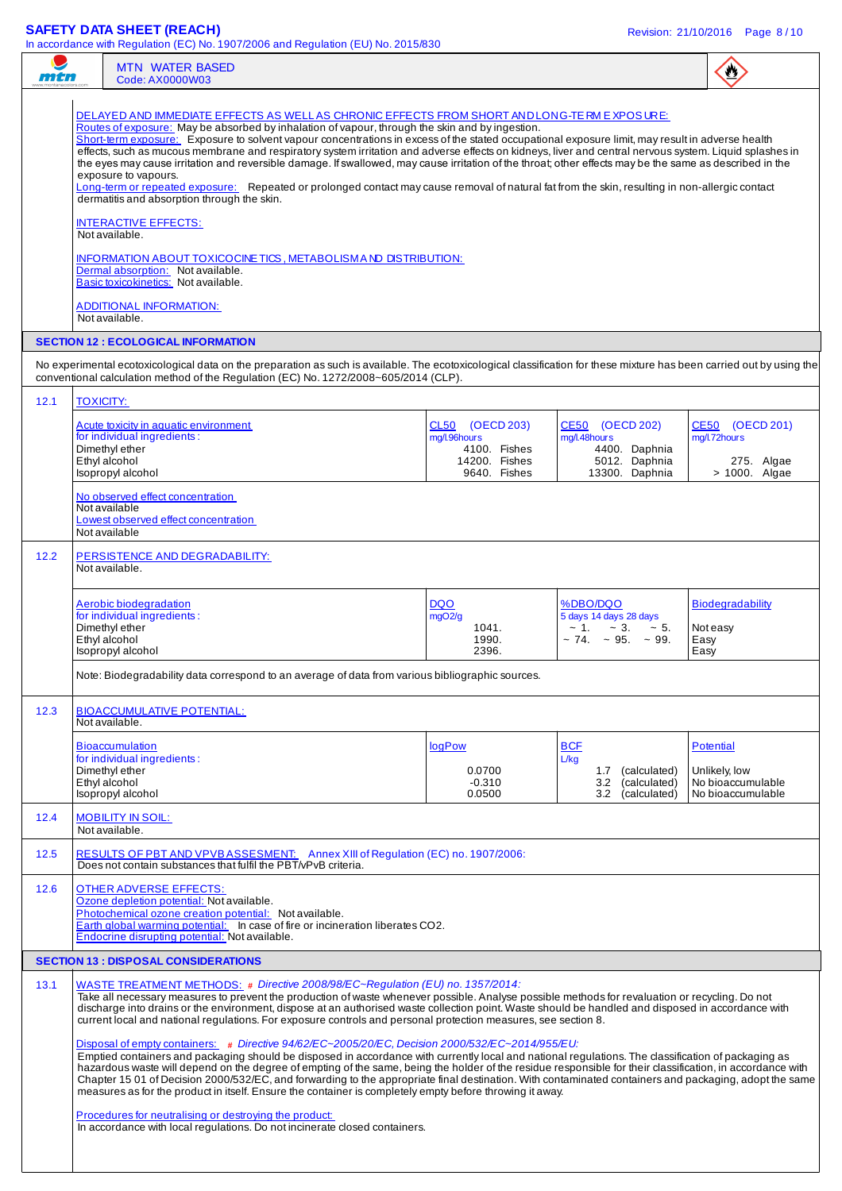### **SAFETY DATA SHEET (REACH)** Revision: 21/10/2016 Page 8 / 10

|                                            | <b>MTN WATER BASED</b><br>Code: AX0000W03                                                                                                                                                                                                                                                                                                                                                                                                                                                                                                                                                                                                                                                                                                                                                                                                                                                                                                                                                                                                                                                                                                                                                                                                                                                                                                        |                                                                                  |                                                                                                     |                                                                             |  |  |
|--------------------------------------------|--------------------------------------------------------------------------------------------------------------------------------------------------------------------------------------------------------------------------------------------------------------------------------------------------------------------------------------------------------------------------------------------------------------------------------------------------------------------------------------------------------------------------------------------------------------------------------------------------------------------------------------------------------------------------------------------------------------------------------------------------------------------------------------------------------------------------------------------------------------------------------------------------------------------------------------------------------------------------------------------------------------------------------------------------------------------------------------------------------------------------------------------------------------------------------------------------------------------------------------------------------------------------------------------------------------------------------------------------|----------------------------------------------------------------------------------|-----------------------------------------------------------------------------------------------------|-----------------------------------------------------------------------------|--|--|
| <b>SECTION 12 : ECOLOGICAL INFORMATION</b> | DELAYED AND IMMEDIATE EFFECTS AS WELL AS CHRONIC EFFECTS FROM SHORT AND LONG-TE RM EXPOSURE:<br>Routes of exposure: May be absorbed by inhalation of vapour, through the skin and by ingestion.<br>Short-term exposure: Exposure to solvent vapour concentrations in excess of the stated occupational exposure limit, may result in adverse health<br>effects, such as mucous membrane and respiratory system irritation and adverse effects on kidneys, liver and central nervous system. Liquid splashes in<br>the eyes may cause irritation and reversible damage. If swallowed, may cause irritation of the throat; other effects may be the same as described in the<br>exposure to vapours.<br>Long-term or repeated exposure: Repeated or prolonged contact may cause removal of natural fat from the skin, resulting in non-allergic contact<br>dermatitis and absorption through the skin.<br><b>INTERACTIVE EFFECTS:</b><br>Not available.<br><b>INFORMATION ABOUT TOXICOCINE TICS, METABOLISM AND DISTRIBUTION:</b><br>Dermal absorption: Not available.<br>Basic toxicokinetics: Not available.<br><b>ADDITIONAL INFORMATION:</b><br>Not available.                                                                                                                                                                                 |                                                                                  |                                                                                                     |                                                                             |  |  |
|                                            | No experimental ecotoxicological data on the preparation as such is available. The ecotoxicological classification for these mixture has been carried out by using the<br>conventional calculation method of the Regulation (EC) No. 1272/2008~605/2014 (CLP).                                                                                                                                                                                                                                                                                                                                                                                                                                                                                                                                                                                                                                                                                                                                                                                                                                                                                                                                                                                                                                                                                   |                                                                                  |                                                                                                     |                                                                             |  |  |
| 12.1                                       | <b>TOXICITY:</b>                                                                                                                                                                                                                                                                                                                                                                                                                                                                                                                                                                                                                                                                                                                                                                                                                                                                                                                                                                                                                                                                                                                                                                                                                                                                                                                                 |                                                                                  |                                                                                                     |                                                                             |  |  |
|                                            | Acute toxicity in aquatic environment<br>for individual ingredients:<br>Dimethyl ether<br>Ethyl alcohol<br>Isopropyl alcohol<br>No observed effect concentration                                                                                                                                                                                                                                                                                                                                                                                                                                                                                                                                                                                                                                                                                                                                                                                                                                                                                                                                                                                                                                                                                                                                                                                 | CL50 (OECD 203)<br>mg/l.96hours<br>4100. Fishes<br>14200. Fishes<br>9640. Fishes | CE50 (OECD 202)<br>mg/l.48hours<br>4400. Daphnia<br>5012. Daphnia<br>13300. Daphnia                 | CE50 (OECD 201)<br>mg/l.72hours<br>275. Algae<br>> 1000. Algae              |  |  |
| 12.2                                       | Not available<br>Lowest observed effect concentration<br>Not available<br>PERSISTENCE AND DEGRADABILITY:<br>Not available.                                                                                                                                                                                                                                                                                                                                                                                                                                                                                                                                                                                                                                                                                                                                                                                                                                                                                                                                                                                                                                                                                                                                                                                                                       |                                                                                  |                                                                                                     |                                                                             |  |  |
|                                            | Aerobic biodegradation<br>for individual ingredients:<br>Dimethyl ether<br>Ethyl alcohol<br>Isopropyl alcohol<br>Note: Biodegradability data correspond to an average of data from various bibliographic sources.                                                                                                                                                                                                                                                                                                                                                                                                                                                                                                                                                                                                                                                                                                                                                                                                                                                                                                                                                                                                                                                                                                                                | <b>DQO</b><br>mgO2/g<br>1041.<br>1990.<br>2396.                                  | %DBO/DQO<br>5 days 14 days 28 days<br>$\sim 1. \sim 3. \sim 5.$<br>$\sim$ 74. $\sim$ 95. $\sim$ 99. | <b>Biodegradability</b><br>Not easy<br>Easy<br>Easy                         |  |  |
| 12.3                                       | <b>BIOACCUMULATIVE POTENTIAL:</b><br>Not available.                                                                                                                                                                                                                                                                                                                                                                                                                                                                                                                                                                                                                                                                                                                                                                                                                                                                                                                                                                                                                                                                                                                                                                                                                                                                                              |                                                                                  |                                                                                                     |                                                                             |  |  |
|                                            | <b>Bioaccumulation</b><br>for individual ingredients:<br>Dimethyl ether<br>Ethyl alcohol<br>Isopropyl alcohol                                                                                                                                                                                                                                                                                                                                                                                                                                                                                                                                                                                                                                                                                                                                                                                                                                                                                                                                                                                                                                                                                                                                                                                                                                    | logPow<br>0.0700<br>$-0.310$<br>0.0500                                           | <b>BCF</b><br>L/kg<br>(calculated)<br>1.7<br>3.2<br>(calculated)<br>3.2<br>(calculated)             | <b>Potential</b><br>Unlikely, low<br>No bioaccumulable<br>No bioaccumulable |  |  |
| 12.4                                       | <b>MOBILITY IN SOIL:</b><br>Not available.                                                                                                                                                                                                                                                                                                                                                                                                                                                                                                                                                                                                                                                                                                                                                                                                                                                                                                                                                                                                                                                                                                                                                                                                                                                                                                       |                                                                                  |                                                                                                     |                                                                             |  |  |
| 12.5                                       | RESULTS OF PBT AND VPVB ASSESMENT: Annex XIII of Regulation (EC) no. 1907/2006:<br>Does not contain substances that fulfil the PBT/vPvB criteria.                                                                                                                                                                                                                                                                                                                                                                                                                                                                                                                                                                                                                                                                                                                                                                                                                                                                                                                                                                                                                                                                                                                                                                                                |                                                                                  |                                                                                                     |                                                                             |  |  |
| 12.6                                       | <b>OTHER ADVERSE EFFECTS:</b><br>Ozone depletion potential: Not available.<br>Photochemical ozone creation potential: Not available.<br>Earth global warming potential: In case of fire or incineration liberates CO2.<br>Endocrine disrupting potential: Not available.                                                                                                                                                                                                                                                                                                                                                                                                                                                                                                                                                                                                                                                                                                                                                                                                                                                                                                                                                                                                                                                                         |                                                                                  |                                                                                                     |                                                                             |  |  |
|                                            | <b>SECTION 13 : DISPOSAL CONSIDERATIONS</b>                                                                                                                                                                                                                                                                                                                                                                                                                                                                                                                                                                                                                                                                                                                                                                                                                                                                                                                                                                                                                                                                                                                                                                                                                                                                                                      |                                                                                  |                                                                                                     |                                                                             |  |  |
| 13.1                                       | WASTE TREATMENT METHODS: # Directive 2008/98/EC~Regulation (EU) no. 1357/2014:<br>Take all necessary measures to prevent the production of waste whenever possible. Analyse possible methods for revaluation or recycling. Do not<br>discharge into drains or the environment, dispose at an authorised waste collection point. Waste should be handled and disposed in accordance with<br>current local and national regulations. For exposure controls and personal protection measures, see section 8.<br>Disposal of empty containers: # Directive 94/62/EC~2005/20/EC, Decision 2000/532/EC~2014/955/EU:<br>Emptied containers and packaging should be disposed in accordance with currently local and national regulations. The classification of packaging as<br>hazardous waste will depend on the degree of empting of the same, being the holder of the residue responsible for their classification, in accordance with<br>Chapter 15 01 of Decision 2000/532/EC, and forwarding to the appropriate final destination. With contaminated containers and packaging, adopt the same<br>measures as for the product in itself. Ensure the container is completely empty before throwing it away.<br>Procedures for neutralising or destroying the product:<br>In accordance with local regulations. Do not incinerate closed containers. |                                                                                  |                                                                                                     |                                                                             |  |  |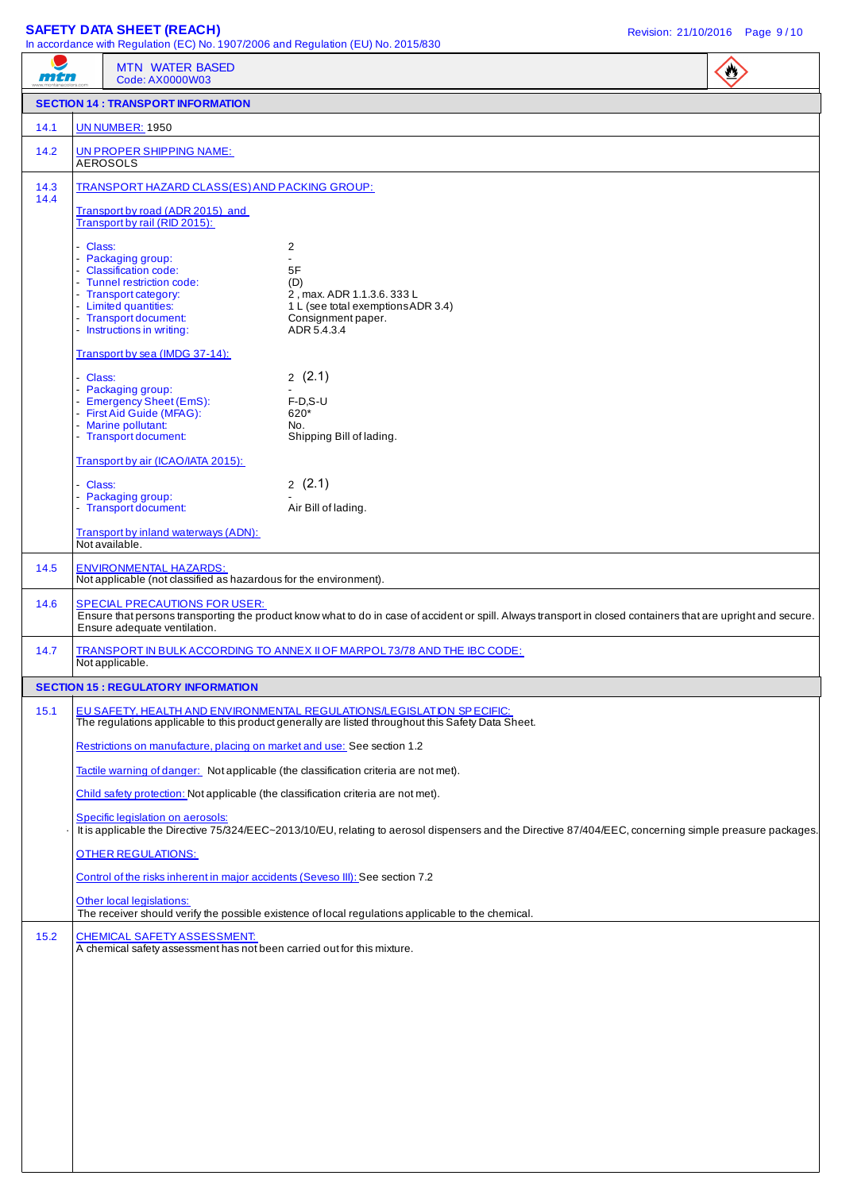### **SAFETY DATA SHEET (REACH)** Revision: 21/10/2016 Page 9 / 10

| mtn    |          | <b>MTN WATER BASED</b><br>Code: AX0000W03                                                                                                                                           |                                                                                                                                                                             | $\mathbf{C}$ |
|--------|----------|-------------------------------------------------------------------------------------------------------------------------------------------------------------------------------------|-----------------------------------------------------------------------------------------------------------------------------------------------------------------------------|--------------|
|        |          | <b>SECTION 14 : TRANSPORT INFORMATION</b>                                                                                                                                           |                                                                                                                                                                             |              |
| 14.1   |          | <b>UN NUMBER: 1950</b>                                                                                                                                                              |                                                                                                                                                                             |              |
| 14.2   |          | UN PROPER SHIPPING NAME:<br><b>AEROSOLS</b>                                                                                                                                         |                                                                                                                                                                             |              |
| 14.3   |          | TRANSPORT HAZARD CLASS(ES) AND PACKING GROUP:                                                                                                                                       |                                                                                                                                                                             |              |
| 14.4   |          | Transport by road (ADR 2015) and<br>Transport by rail (RID 2015):                                                                                                                   |                                                                                                                                                                             |              |
|        | - Class: | - Packaging group:<br>- Classification code:<br>- Tunnel restriction code:<br>- Transport category:<br>- Limited quantities:<br>- Transport document:<br>- Instructions in writing: | 2<br>$\blacksquare$<br>5F<br>(D)<br>2, max. ADR 1.1.3.6. 333 L<br>1 L (see total exemptions ADR 3.4)<br>Consignment paper.<br>ADR 5.4.3.4                                   |              |
|        |          | Transport by sea (IMDG 37-14):                                                                                                                                                      |                                                                                                                                                                             |              |
|        | - Class: | - Packaging group:<br>- Emergency Sheet (EmS):<br>- First Aid Guide (MFAG):<br>- Marine pollutant:<br>- Transport document:                                                         | 2(2.1)<br>$F-D.S-U$<br>620*<br>No.<br>Shipping Bill of lading.                                                                                                              |              |
|        |          | Transport by air (ICAO/IATA 2015):                                                                                                                                                  |                                                                                                                                                                             |              |
|        | - Class: | - Packaging group:<br>- Transport document:                                                                                                                                         | 2(2.1)<br>Air Bill of lading.                                                                                                                                               |              |
|        |          | Transport by inland waterways (ADN):<br>Not available.                                                                                                                              |                                                                                                                                                                             |              |
| 14.5   |          | <b>ENVIRONMENTAL HAZARDS:</b><br>Not applicable (not classified as hazardous for the environment).                                                                                  |                                                                                                                                                                             |              |
| 14.6   |          | <b>SPECIAL PRECAUTIONS FOR USER:</b><br>Ensure adequate ventilation.                                                                                                                | Ensure that persons transporting the product know what to do in case of accident or spill. Always transport in closed containers that are upright and secure.               |              |
| 14.7   |          | Not applicable.                                                                                                                                                                     | TRANSPORT IN BULK ACCORDING TO ANNEX II OF MARPOL 73/78 AND THE IBC CODE:                                                                                                   |              |
|        |          | <b>SECTION 15: REGULATORY INFORMATION</b>                                                                                                                                           |                                                                                                                                                                             |              |
| 15.1   |          |                                                                                                                                                                                     | EU SAFETY, HEALTH AND ENVIRONMENTAL REGULATIONS/LEGISLATION SPECIFIC:<br>The regulations applicable to this product generally are listed throughout this Safety Data Sheet. |              |
|        |          | Restrictions on manufacture, placing on market and use: See section 1.2                                                                                                             |                                                                                                                                                                             |              |
|        |          |                                                                                                                                                                                     | Tactile warning of danger: Not applicable (the classification criteria are not met).                                                                                        |              |
|        |          | Child safety protection: Not applicable (the classification criteria are not met).                                                                                                  |                                                                                                                                                                             |              |
|        |          | Specific legislation on aerosols:                                                                                                                                                   | It is applicable the Directive 75/324/EEC~2013/10/EU, relating to aerosol dispensers and the Directive 87/404/EEC, concerning simple preasure packages.                     |              |
|        |          | <b>OTHER REGULATIONS:</b>                                                                                                                                                           |                                                                                                                                                                             |              |
|        |          | Control of the risks inherent in major accidents (Seveso III): See section 7.2<br>Other local legislations:                                                                         |                                                                                                                                                                             |              |
| $15.2$ |          | <b>CHEMICAL SAFETY ASSESSMENT:</b>                                                                                                                                                  | The receiver should verify the possible existence of local regulations applicable to the chemical.                                                                          |              |
|        |          | A chemical safety assessment has not been carried out for this mixture.                                                                                                             |                                                                                                                                                                             |              |
|        |          |                                                                                                                                                                                     |                                                                                                                                                                             |              |
|        |          |                                                                                                                                                                                     |                                                                                                                                                                             |              |
|        |          |                                                                                                                                                                                     |                                                                                                                                                                             |              |
|        |          |                                                                                                                                                                                     |                                                                                                                                                                             |              |
|        |          |                                                                                                                                                                                     |                                                                                                                                                                             |              |
|        |          |                                                                                                                                                                                     |                                                                                                                                                                             |              |
|        |          |                                                                                                                                                                                     |                                                                                                                                                                             |              |